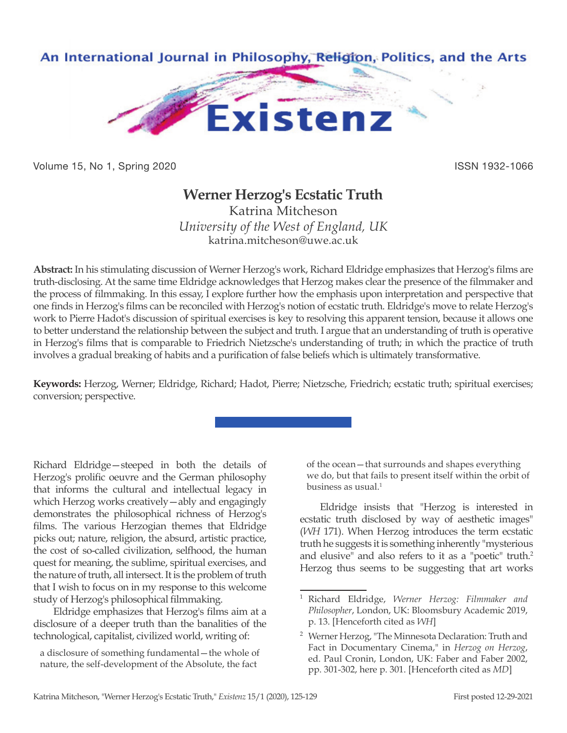

Volume 15, No 1, Spring 2020 **ISSN 1932-1066** 

## **Werner Herzog's Ecstatic Truth**

Katrina Mitcheson *University of the West of England, UK* katrina.mitcheson@uwe.ac.uk

**Abstract:** In his stimulating discussion of Werner Herzog's work, Richard Eldridge emphasizes that Herzog's films are truth-disclosing. At the same time Eldridge acknowledges that Herzog makes clear the presence of the filmmaker and the process of filmmaking. In this essay, I explore further how the emphasis upon interpretation and perspective that one finds in Herzog's films can be reconciled with Herzog's notion of ecstatic truth. Eldridge's move to relate Herzog's work to Pierre Hadot's discussion of spiritual exercises is key to resolving this apparent tension, because it allows one to better understand the relationship between the subject and truth. I argue that an understanding of truth is operative in Herzog's films that is comparable to Friedrich Nietzsche's understanding of truth; in which the practice of truth involves a gradual breaking of habits and a purification of false beliefs which is ultimately transformative.

**Keywords:** Herzog, Werner; Eldridge, Richard; Hadot, Pierre; Nietzsche, Friedrich; ecstatic truth; spiritual exercises; conversion; perspective.

Richard Eldridge—steeped in both the details of Herzog's prolific oeuvre and the German philosophy that informs the cultural and intellectual legacy in which Herzog works creatively—ably and engagingly demonstrates the philosophical richness of Herzog's films. The various Herzogian themes that Eldridge picks out; nature, religion, the absurd, artistic practice, the cost of so-called civilization, selfhood, the human quest for meaning, the sublime, spiritual exercises, and the nature of truth, all intersect. It is the problem of truth that I wish to focus on in my response to this welcome study of Herzog's philosophical filmmaking.

Eldridge emphasizes that Herzog's films aim at a disclosure of a deeper truth than the banalities of the technological, capitalist, civilized world, writing of:

a disclosure of something fundamental—the whole of nature, the self-development of the Absolute, the fact

of the ocean—that surrounds and shapes everything we do, but that fails to present itself within the orbit of business as usual. $1$ 

Eldridge insists that "Herzog is interested in ecstatic truth disclosed by way of aesthetic images" (*WH* 171). When Herzog introduces the term ecstatic truth he suggests it is something inherently "mysterious and elusive" and also refers to it as a "poetic" truth.<sup>2</sup> Herzog thus seems to be suggesting that art works

<sup>1</sup> Richard Eldridge, *Werner Herzog: Filmmaker and Philosopher*, London, UK: Bloomsbury Academic 2019, p. 13. [Henceforth cited as *WH*]

<sup>2</sup> Werner Herzog, "The Minnesota Declaration: Truth and Fact in Documentary Cinema," in *Herzog on Herzog*, ed. Paul Cronin, London, UK: Faber and Faber 2002, pp. 301-302, here p. 301. [Henceforth cited as *MD*]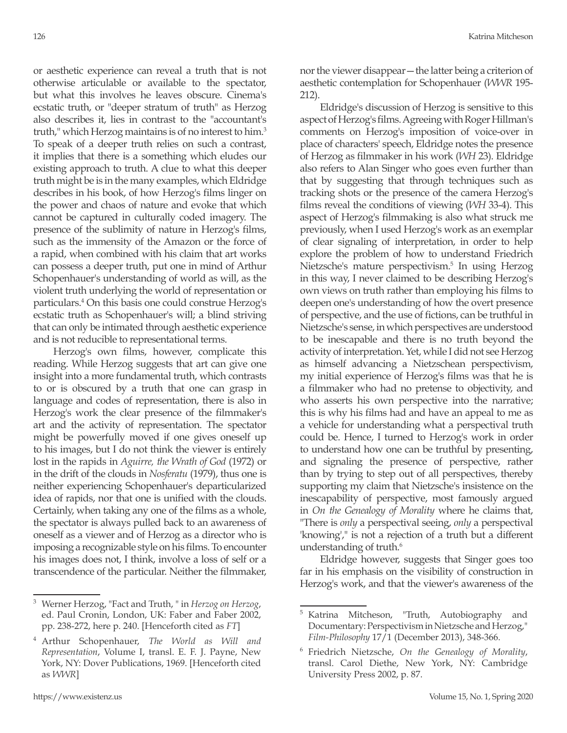or aesthetic experience can reveal a truth that is not otherwise articulable or available to the spectator, but what this involves he leaves obscure. Cinema's ecstatic truth, or "deeper stratum of truth" as Herzog also describes it, lies in contrast to the "accountant's truth," which Herzog maintains is of no interest to him.<sup>3</sup> To speak of a deeper truth relies on such a contrast, it implies that there is a something which eludes our existing approach to truth. A clue to what this deeper truth might be is in the many examples, which Eldridge describes in his book, of how Herzog's films linger on the power and chaos of nature and evoke that which cannot be captured in culturally coded imagery. The presence of the sublimity of nature in Herzog's films, such as the immensity of the Amazon or the force of a rapid, when combined with his claim that art works can possess a deeper truth, put one in mind of Arthur Schopenhauer's understanding of world as will, as the violent truth underlying the world of representation or particulars.4 On this basis one could construe Herzog's ecstatic truth as Schopenhauer's will; a blind striving that can only be intimated through aesthetic experience and is not reducible to representational terms.

Herzog's own films, however, complicate this reading. While Herzog suggests that art can give one insight into a more fundamental truth, which contrasts to or is obscured by a truth that one can grasp in language and codes of representation, there is also in Herzog's work the clear presence of the filmmaker's art and the activity of representation. The spectator might be powerfully moved if one gives oneself up to his images, but I do not think the viewer is entirely lost in the rapids in *Aguirre, the Wrath of God* (1972) or in the drift of the clouds in *Nosferatu* (1979), thus one is neither experiencing Schopenhauer's departicularized idea of rapids, nor that one is unified with the clouds. Certainly, when taking any one of the films as a whole, the spectator is always pulled back to an awareness of oneself as a viewer and of Herzog as a director who is imposing a recognizable style on his films. To encounter his images does not, I think, involve a loss of self or a transcendence of the particular. Neither the filmmaker,

<sup>3</sup> Werner Herzog, "Fact and Truth, " in *Herzog on Herzog*, ed. Paul Cronin, London, UK: Faber and Faber 2002, pp. 238-272, here p. 240. [Henceforth cited as *FT*]

nor the viewer disappear—the latter being a criterion of aesthetic contemplation for Schopenhauer (*WWR* 195- 212).

Eldridge's discussion of Herzog is sensitive to this aspect of Herzog's films. Agreeing with Roger Hillman's comments on Herzog's imposition of voice-over in place of characters' speech, Eldridge notes the presence of Herzog as filmmaker in his work (*WH* 23). Eldridge also refers to Alan Singer who goes even further than that by suggesting that through techniques such as tracking shots or the presence of the camera Herzog's films reveal the conditions of viewing (*WH* 33-4). This aspect of Herzog's filmmaking is also what struck me previously, when I used Herzog's work as an exemplar of clear signaling of interpretation, in order to help explore the problem of how to understand Friedrich Nietzsche's mature perspectivism.<sup>5</sup> In using Herzog in this way, I never claimed to be describing Herzog's own views on truth rather than employing his films to deepen one's understanding of how the overt presence of perspective, and the use of fictions, can be truthful in Nietzsche's sense, in which perspectives are understood to be inescapable and there is no truth beyond the activity of interpretation. Yet, while I did not see Herzog as himself advancing a Nietzschean perspectivism, my initial experience of Herzog's films was that he is a filmmaker who had no pretense to objectivity, and who asserts his own perspective into the narrative; this is why his films had and have an appeal to me as a vehicle for understanding what a perspectival truth could be. Hence, I turned to Herzog's work in order to understand how one can be truthful by presenting, and signaling the presence of perspective, rather than by trying to step out of all perspectives, thereby supporting my claim that Nietzsche's insistence on the inescapability of perspective, most famously argued in *On the Genealogy of Morality* where he claims that, "There is *only* a perspectival seeing, *only* a perspectival 'knowing'," is not a rejection of a truth but a different understanding of truth. $6$ 

Eldridge however, suggests that Singer goes too far in his emphasis on the visibility of construction in Herzog's work, and that the viewer's awareness of the

<sup>4</sup> Arthur Schopenhauer, *The World as Will and Representation*, Volume I, transl. E. F. J. Payne, New York, NY: Dover Publications, 1969. [Henceforth cited as *WWR*]

<sup>&</sup>lt;sup>5</sup> Katrina Mitcheson, "Truth, Autobiography and Documentary: Perspectivism in Nietzsche and Herzog," *Film-Philosophy* 17/1 (December 2013), 348-366.

<sup>6</sup> Friedrich Nietzsche, *On the Genealogy of Morality*, transl. Carol Diethe, New York, NY: Cambridge University Press 2002, p. 87.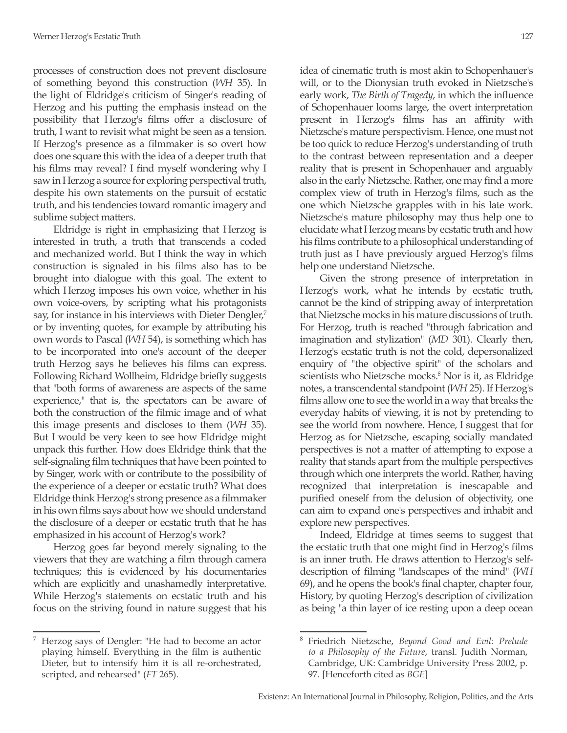processes of construction does not prevent disclosure of something beyond this construction (*WH* 35). In the light of Eldridge's criticism of Singer's reading of Herzog and his putting the emphasis instead on the possibility that Herzog's films offer a disclosure of truth, I want to revisit what might be seen as a tension. If Herzog's presence as a filmmaker is so overt how does one square this with the idea of a deeper truth that his films may reveal? I find myself wondering why I saw in Herzog a source for exploring perspectival truth, despite his own statements on the pursuit of ecstatic truth, and his tendencies toward romantic imagery and sublime subject matters.

Eldridge is right in emphasizing that Herzog is interested in truth, a truth that transcends a coded and mechanized world. But I think the way in which construction is signaled in his films also has to be brought into dialogue with this goal. The extent to which Herzog imposes his own voice, whether in his own voice-overs, by scripting what his protagonists say, for instance in his interviews with Dieter Dengler,<sup>7</sup> or by inventing quotes, for example by attributing his own words to Pascal (*WH* 54), is something which has to be incorporated into one's account of the deeper truth Herzog says he believes his films can express. Following Richard Wollheim, Eldridge briefly suggests that "both forms of awareness are aspects of the same experience," that is, the spectators can be aware of both the construction of the filmic image and of what this image presents and discloses to them (*WH* 35). But I would be very keen to see how Eldridge might unpack this further. How does Eldridge think that the self-signaling film techniques that have been pointed to by Singer, work with or contribute to the possibility of the experience of a deeper or ecstatic truth? What does Eldridge think Herzog's strong presence as a filmmaker in his own films says about how we should understand the disclosure of a deeper or ecstatic truth that he has emphasized in his account of Herzog's work?

Herzog goes far beyond merely signaling to the viewers that they are watching a film through camera techniques; this is evidenced by his documentaries which are explicitly and unashamedly interpretative. While Herzog's statements on ecstatic truth and his focus on the striving found in nature suggest that his idea of cinematic truth is most akin to Schopenhauer's will, or to the Dionysian truth evoked in Nietzsche's early work, *The Birth of Tragedy*, in which the influence of Schopenhauer looms large, the overt interpretation present in Herzog's films has an affinity with Nietzsche's mature perspectivism. Hence, one must not be too quick to reduce Herzog's understanding of truth to the contrast between representation and a deeper reality that is present in Schopenhauer and arguably also in the early Nietzsche. Rather, one may find a more complex view of truth in Herzog's films, such as the one which Nietzsche grapples with in his late work. Nietzsche's mature philosophy may thus help one to elucidate what Herzog means by ecstatic truth and how his films contribute to a philosophical understanding of truth just as I have previously argued Herzog's films help one understand Nietzsche.

Given the strong presence of interpretation in Herzog's work, what he intends by ecstatic truth, cannot be the kind of stripping away of interpretation that Nietzsche mocks in his mature discussions of truth. For Herzog, truth is reached "through fabrication and imagination and stylization" (*MD* 301). Clearly then, Herzog's ecstatic truth is not the cold, depersonalized enquiry of "the objective spirit" of the scholars and scientists who Nietzsche mocks.<sup>8</sup> Nor is it, as Eldridge notes, a transcendental standpoint (*WH* 25). If Herzog's films allow one to see the world in a way that breaks the everyday habits of viewing, it is not by pretending to see the world from nowhere. Hence, I suggest that for Herzog as for Nietzsche, escaping socially mandated perspectives is not a matter of attempting to expose a reality that stands apart from the multiple perspectives through which one interprets the world. Rather, having recognized that interpretation is inescapable and purified oneself from the delusion of objectivity, one can aim to expand one's perspectives and inhabit and explore new perspectives.

Indeed, Eldridge at times seems to suggest that the ecstatic truth that one might find in Herzog's films is an inner truth. He draws attention to Herzog's selfdescription of filming "landscapes of the mind" (*WH* 69), and he opens the book's final chapter, chapter four, History, by quoting Herzog's description of civilization as being "a thin layer of ice resting upon a deep ocean

Herzog says of Dengler: "He had to become an actor playing himself. Everything in the film is authentic Dieter, but to intensify him it is all re-orchestrated, scripted, and rehearsed" (*FT* 265).

<sup>8</sup> Friedrich Nietzsche, *Beyond Good and Evil: Prelude to a Philosophy of the Future*, transl. Judith Norman, Cambridge, UK: Cambridge University Press 2002, p. 97. [Henceforth cited as *BGE*]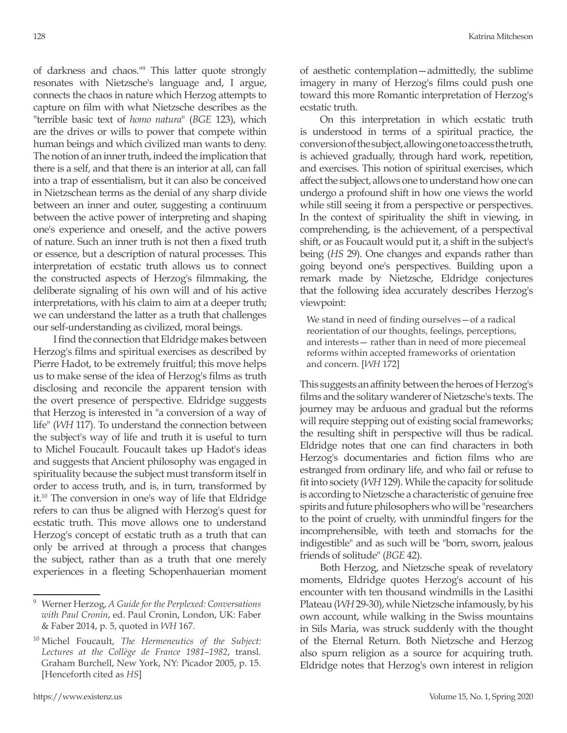of darkness and chaos."<sup>9</sup> This latter quote strongly resonates with Nietzsche's language and, I argue, connects the chaos in nature which Herzog attempts to capture on film with what Nietzsche describes as the "terrible basic text of *homo natura*" (*BGE* 123), which are the drives or wills to power that compete within human beings and which civilized man wants to deny. The notion of an inner truth, indeed the implication that there is a self, and that there is an interior at all, can fall into a trap of essentialism, but it can also be conceived in Nietzschean terms as the denial of any sharp divide between an inner and outer, suggesting a continuum between the active power of interpreting and shaping one's experience and oneself, and the active powers of nature. Such an inner truth is not then a fixed truth or essence, but a description of natural processes. This interpretation of ecstatic truth allows us to connect the constructed aspects of Herzog's filmmaking, the deliberate signaling of his own will and of his active interpretations, with his claim to aim at a deeper truth; we can understand the latter as a truth that challenges our self-understanding as civilized, moral beings.

I find the connection that Eldridge makes between Herzog's films and spiritual exercises as described by Pierre Hadot, to be extremely fruitful; this move helps us to make sense of the idea of Herzog's films as truth disclosing and reconcile the apparent tension with the overt presence of perspective. Eldridge suggests that Herzog is interested in "a conversion of a way of life" (*WH* 117). To understand the connection between the subject's way of life and truth it is useful to turn to Michel Foucault. Foucault takes up Hadot's ideas and suggests that Ancient philosophy was engaged in spirituality because the subject must transform itself in order to access truth, and is, in turn, transformed by it.10 The conversion in one's way of life that Eldridge refers to can thus be aligned with Herzog's quest for ecstatic truth. This move allows one to understand Herzog's concept of ecstatic truth as a truth that can only be arrived at through a process that changes the subject, rather than as a truth that one merely experiences in a fleeting Schopenhauerian moment of aesthetic contemplation—admittedly, the sublime imagery in many of Herzog's films could push one toward this more Romantic interpretation of Herzog's ecstatic truth.

On this interpretation in which ecstatic truth is understood in terms of a spiritual practice, the conversion of the subject, allowing one to access the truth, is achieved gradually, through hard work, repetition, and exercises. This notion of spiritual exercises, which affect the subject, allows one to understand how one can undergo a profound shift in how one views the world while still seeing it from a perspective or perspectives. In the context of spirituality the shift in viewing, in comprehending, is the achievement, of a perspectival shift, or as Foucault would put it, a shift in the subject's being (*HS* 29). One changes and expands rather than going beyond one's perspectives. Building upon a remark made by Nietzsche, Eldridge conjectures that the following idea accurately describes Herzog's viewpoint:

We stand in need of finding ourselves—of a radical reorientation of our thoughts, feelings, perceptions, and interests— rather than in need of more piecemeal reforms within accepted frameworks of orientation and concern. [*WH* 172]

This suggests an affinity between the heroes of Herzog's films and the solitary wanderer of Nietzsche's texts. The journey may be arduous and gradual but the reforms will require stepping out of existing social frameworks; the resulting shift in perspective will thus be radical. Eldridge notes that one can find characters in both Herzog's documentaries and fiction films who are estranged from ordinary life, and who fail or refuse to fit into society (*WH* 129). While the capacity for solitude is according to Nietzsche a characteristic of genuine free spirits and future philosophers who will be "researchers to the point of cruelty, with unmindful fingers for the incomprehensible, with teeth and stomachs for the indigestible" and as such will be "born, sworn, jealous friends of solitude" (*BGE* 42).

Both Herzog, and Nietzsche speak of revelatory moments, Eldridge quotes Herzog's account of his encounter with ten thousand windmills in the Lasithi Plateau (*WH* 29-30), while Nietzsche infamously, by his own account, while walking in the Swiss mountains in Sils Maria, was struck suddenly with the thought of the Eternal Return. Both Nietzsche and Herzog also spurn religion as a source for acquiring truth. Eldridge notes that Herzog's own interest in religion

<sup>9</sup> Werner Herzog, *A Guide for the Perplexed: Conversations with Paul Cronin*, ed. Paul Cronin, London, UK: Faber & Faber 2014, p. 5, quoted in *WH* 167.

<sup>10</sup> Michel Foucault, *The Hermeneutics of the Subject: Lectures at the Collège de France 1981–1982*, transl. Graham Burchell, New York, NY: Picador 2005, p. 15. [Henceforth cited as *HS*]